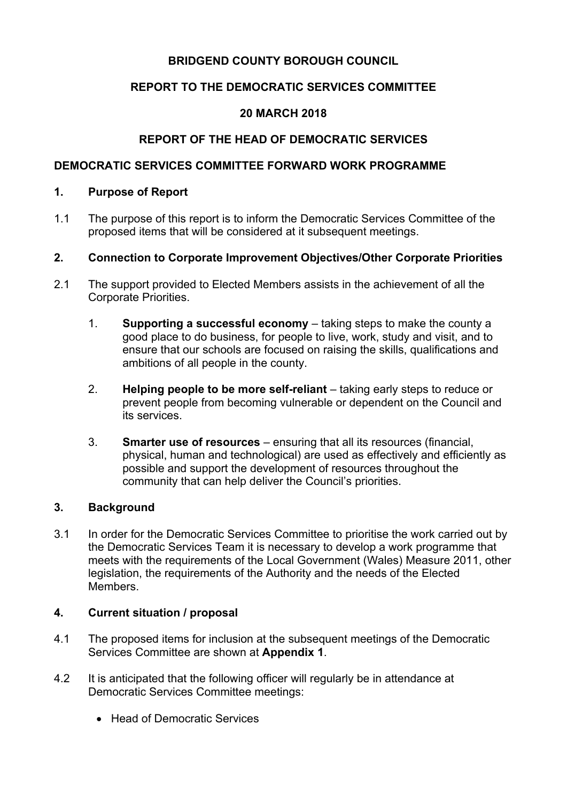# **BRIDGEND COUNTY BOROUGH COUNCIL**

# **REPORT TO THE DEMOCRATIC SERVICES COMMITTEE**

# **20 MARCH 2018**

# **REPORT OF THE HEAD OF DEMOCRATIC SERVICES**

## **DEMOCRATIC SERVICES COMMITTEE FORWARD WORK PROGRAMME**

#### **1. Purpose of Report**

1.1 The purpose of this report is to inform the Democratic Services Committee of the proposed items that will be considered at it subsequent meetings.

#### **2. Connection to Corporate Improvement Objectives/Other Corporate Priorities**

- 2.1 The support provided to Elected Members assists in the achievement of all the Corporate Priorities.
	- 1. **Supporting a successful economy** taking steps to make the county a good place to do business, for people to live, work, study and visit, and to ensure that our schools are focused on raising the skills, qualifications and ambitions of all people in the county.
	- 2. **Helping people to be more self-reliant** taking early steps to reduce or prevent people from becoming vulnerable or dependent on the Council and its services.
	- 3. **Smarter use of resources** ensuring that all its resources (financial, physical, human and technological) are used as effectively and efficiently as possible and support the development of resources throughout the community that can help deliver the Council's priorities.

#### **3. Background**

3.1 In order for the Democratic Services Committee to prioritise the work carried out by the Democratic Services Team it is necessary to develop a work programme that meets with the requirements of the Local Government (Wales) Measure 2011, other legislation, the requirements of the Authority and the needs of the Elected Members.

# **4. Current situation / proposal**

- 4.1 The proposed items for inclusion at the subsequent meetings of the Democratic Services Committee are shown at **Appendix 1**.
- 4.2 It is anticipated that the following officer will regularly be in attendance at Democratic Services Committee meetings:
	- Head of Democratic Services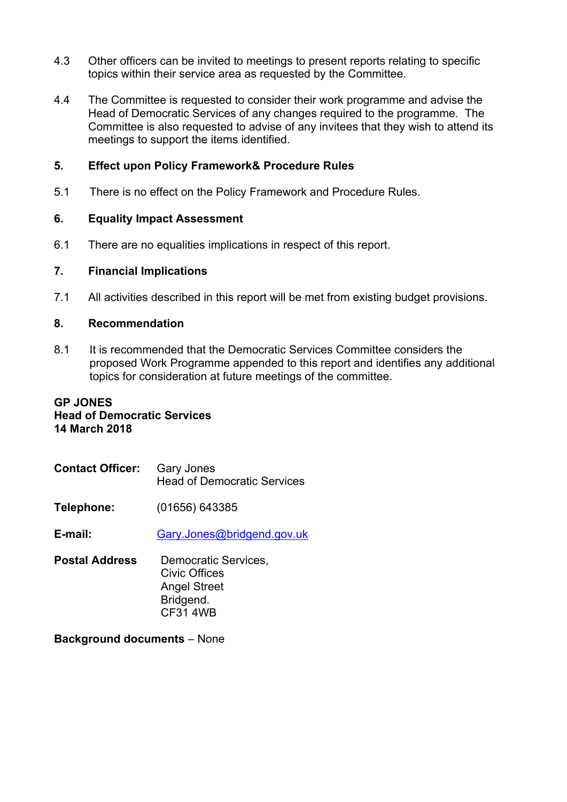- 4.3 Other officers can be invited to meetings to present reports relating to specific topics within their service area as requested by the Committee.
- 4.4 The Committee is requested to consider their work programme and advise the Head of Democratic Services of any changes required to the programme. The Committee is also requested to advise of any invitees that they wish to attend its meetings to support the items identified.

## **5. Effect upon Policy Framework& Procedure Rules**

5.1 There is no effect on the Policy Framework and Procedure Rules.

#### **6. Equality Impact Assessment**

6.1 There are no equalities implications in respect of this report.

#### **7. Financial Implications**

7.1 All activities described in this report will be met from existing budget provisions.

#### **8. Recommendation**

8.1 It is recommended that the Democratic Services Committee considers the proposed Work Programme appended to this report and identifies any additional topics for consideration at future meetings of the committee.

## **GP JONES Head of Democratic Services 14 March 2018**

**Contact Officer:** Gary Jones Head of Democratic Services

**Telephone:** (01656) 643385

**E-mail:** [Gary.Jones@bridgend.gov.uk](mailto:Gary.Jones@bridgend.gov.uk)

**Postal Address** Democratic Services, Civic Offices Angel Street Bridgend. CF31 4WB

**Background documents** – None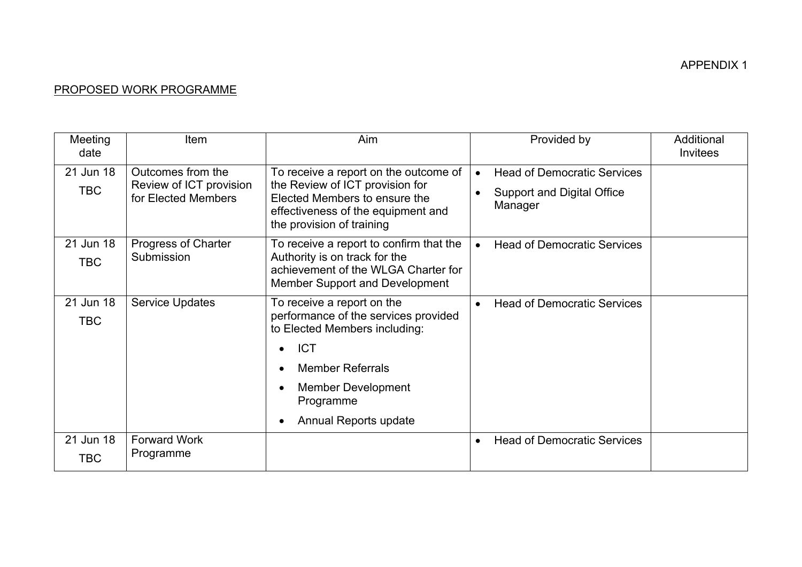# APPENDIX 1

# PROPOSED WORK PROGRAMME

| Meeting<br>date         | <b>Item</b>                                                         | Aim                                                                                                                                                                          | Provided by                                                                        | Additional<br><b>Invitees</b> |
|-------------------------|---------------------------------------------------------------------|------------------------------------------------------------------------------------------------------------------------------------------------------------------------------|------------------------------------------------------------------------------------|-------------------------------|
| 21 Jun 18<br><b>TBC</b> | Outcomes from the<br>Review of ICT provision<br>for Elected Members | To receive a report on the outcome of<br>the Review of ICT provision for<br>Elected Members to ensure the<br>effectiveness of the equipment and<br>the provision of training | <b>Head of Democratic Services</b><br><b>Support and Digital Office</b><br>Manager |                               |
| 21 Jun 18               | Progress of Charter<br>Submission                                   | To receive a report to confirm that the                                                                                                                                      | <b>Head of Democratic Services</b>                                                 |                               |
| <b>TBC</b>              |                                                                     | Authority is on track for the<br>achievement of the WLGA Charter for<br>Member Support and Development                                                                       |                                                                                    |                               |
| 21 Jun 18               | <b>Service Updates</b>                                              | To receive a report on the                                                                                                                                                   | <b>Head of Democratic Services</b>                                                 |                               |
| <b>TBC</b>              |                                                                     | performance of the services provided<br>to Elected Members including:                                                                                                        |                                                                                    |                               |
|                         |                                                                     | <b>ICT</b><br>$\bullet$                                                                                                                                                      |                                                                                    |                               |
|                         |                                                                     | <b>Member Referrals</b><br>$\bullet$                                                                                                                                         |                                                                                    |                               |
|                         |                                                                     | <b>Member Development</b><br>$\bullet$<br>Programme                                                                                                                          |                                                                                    |                               |
|                         |                                                                     | Annual Reports update<br>$\bullet$                                                                                                                                           |                                                                                    |                               |
| 21 Jun 18<br>TBC        | <b>Forward Work</b><br>Programme                                    |                                                                                                                                                                              | <b>Head of Democratic Services</b><br>$\bullet$                                    |                               |